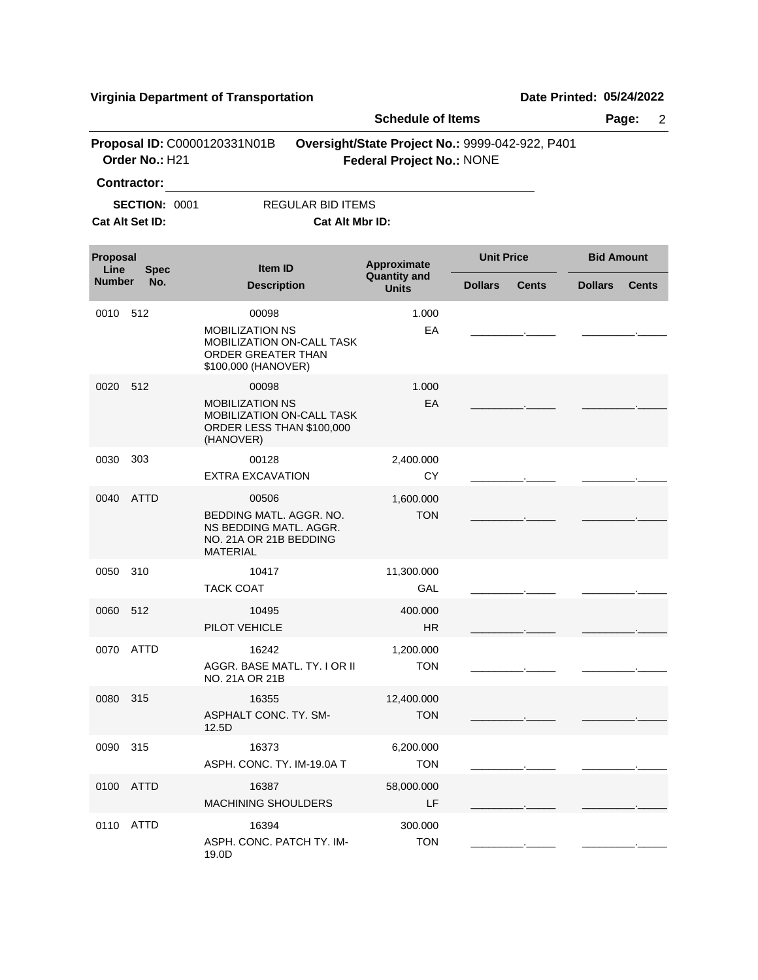**Virginia Department of Transportation Date Printed:** 05/24/2022

|                                 |                                         |                                                                                                         | <b>Schedule of Items</b>           |                                                 |                                |  |
|---------------------------------|-----------------------------------------|---------------------------------------------------------------------------------------------------------|------------------------------------|-------------------------------------------------|--------------------------------|--|
|                                 | Order No.: H21                          | Proposal ID: C0000120331N01B                                                                            | <b>Federal Project No.: NONE</b>   | Oversight/State Project No.: 9999-042-922, P401 |                                |  |
|                                 | <b>Contractor:</b>                      |                                                                                                         |                                    |                                                 |                                |  |
|                                 | <b>SECTION: 0001</b><br>Cat Alt Set ID: | <b>REGULAR BID ITEMS</b><br>Cat Alt Mbr ID:                                                             |                                    |                                                 |                                |  |
| Proposal<br>Line<br><b>Spec</b> |                                         | Item ID                                                                                                 | Approximate<br><b>Quantity and</b> | <b>Unit Price</b>                               | <b>Bid Amount</b>              |  |
| <b>Number</b>                   | No.                                     | <b>Description</b>                                                                                      | <b>Units</b>                       | <b>Dollars</b><br><b>Cents</b>                  | <b>Dollars</b><br><b>Cents</b> |  |
| 0010                            | -512                                    | 00098                                                                                                   | 1.000                              |                                                 |                                |  |
|                                 |                                         | <b>MOBILIZATION NS</b><br>MOBILIZATION ON-CALL TASK<br>ORDER GREATER THAN<br>\$100,000 (HANOVER)        | EA                                 |                                                 |                                |  |
| 0020                            | 512                                     | 00098                                                                                                   | 1.000                              |                                                 |                                |  |
|                                 |                                         | <b>MOBILIZATION NS</b><br>MOBILIZATION ON-CALL TASK<br>ORDER LESS THAN \$100,000<br>(HANOVER)           | EA                                 |                                                 |                                |  |
| 0030                            | 303                                     | 00128<br><b>EXTRA EXCAVATION</b>                                                                        | 2,400.000<br><b>CY</b>             |                                                 |                                |  |
| 0040                            | <b>ATTD</b>                             | 00506<br>BEDDING MATL. AGGR. NO.<br>NS BEDDING MATL. AGGR.<br>NO. 21A OR 21B BEDDING<br><b>MATERIAL</b> | 1,600.000<br><b>TON</b>            |                                                 |                                |  |
| 0050                            | 310                                     | 10417<br><b>TACK COAT</b>                                                                               | 11,300.000<br>GAL                  |                                                 |                                |  |
| 0060                            | 512                                     | 10495<br>PILOT VEHICLE                                                                                  | 400.000<br><b>HR</b>               |                                                 |                                |  |
| 0070                            | ATTD                                    | 16242<br>AGGR. BASE MATL. TY. I OR II<br>NO. 21A OR 21B                                                 | 1,200.000<br><b>TON</b>            |                                                 |                                |  |
| 0080 315                        |                                         | 16355<br>ASPHALT CONC. TY. SM-<br>12.5D                                                                 | 12,400.000<br><b>TON</b>           |                                                 |                                |  |
| 0090 315                        |                                         | 16373<br>ASPH. CONC. TY. IM-19.0A T                                                                     | 6,200.000<br><b>TON</b>            |                                                 |                                |  |
|                                 | 0100 ATTD                               | 16387<br><b>MACHINING SHOULDERS</b>                                                                     | 58,000.000<br>LF                   |                                                 |                                |  |
|                                 | 0110 ATTD                               | 16394<br>ASPH. CONC. PATCH TY. IM-<br>19.0D                                                             | 300.000<br><b>TON</b>              |                                                 |                                |  |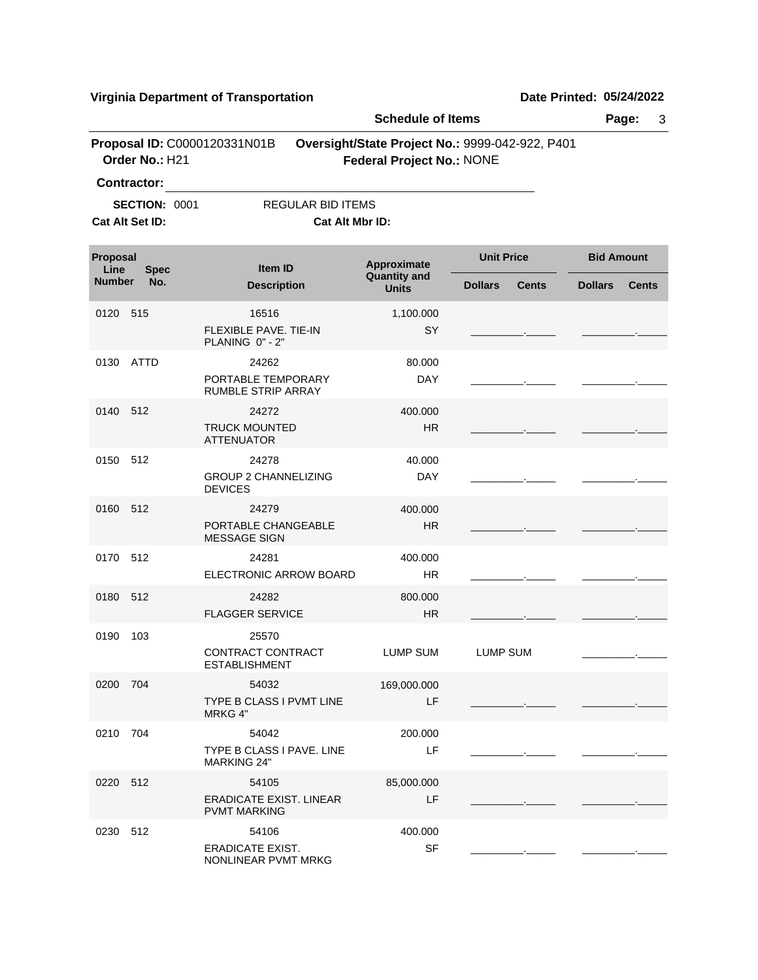**Virginia Department of Transportation Date Printed: 05/24/2022**

|                                                |                        |                                                          | <b>Schedule of Items</b>                                                            |                                |                                |  |
|------------------------------------------------|------------------------|----------------------------------------------------------|-------------------------------------------------------------------------------------|--------------------------------|--------------------------------|--|
| Proposal ID: C0000120331N01B<br>Order No.: H21 |                        |                                                          | Oversight/State Project No.: 9999-042-922, P401<br><b>Federal Project No.: NONE</b> |                                |                                |  |
|                                                | <b>Contractor:</b>     |                                                          |                                                                                     |                                |                                |  |
|                                                | <b>SECTION: 0001</b>   | <b>REGULAR BID ITEMS</b>                                 |                                                                                     |                                |                                |  |
|                                                | <b>Cat Alt Set ID:</b> | Cat Alt Mbr ID:                                          |                                                                                     |                                |                                |  |
| Proposal<br>Line                               | <b>Spec</b>            | <b>Item ID</b>                                           | Approximate<br><b>Quantity and</b><br><b>Units</b>                                  | <b>Unit Price</b>              | <b>Bid Amount</b>              |  |
| <b>Number</b>                                  | No.                    | <b>Description</b>                                       |                                                                                     | <b>Dollars</b><br><b>Cents</b> | <b>Dollars</b><br><b>Cents</b> |  |
| 0120 515                                       |                        | 16516<br><b>FLEXIBLE PAVE, TIE-IN</b><br>PLANING 0" - 2" | 1,100.000<br>SY                                                                     |                                |                                |  |
|                                                | 0130 ATTD              | 24262<br>PORTABLE TEMPORARY<br><b>RUMBLE STRIP ARRAY</b> | 80.000<br><b>DAY</b>                                                                |                                |                                |  |
| 0140 512                                       |                        | 24272<br><b>TRUCK MOUNTED</b><br><b>ATTENUATOR</b>       | 400.000<br><b>HR</b>                                                                |                                |                                |  |
| 0150                                           | 512                    | 24278<br><b>GROUP 2 CHANNELIZING</b><br><b>DEVICES</b>   | 40.000<br><b>DAY</b>                                                                |                                |                                |  |
| 0160 512                                       |                        | 24279<br>PORTABLE CHANGEABLE<br><b>MESSAGE SIGN</b>      | 400.000<br><b>HR</b>                                                                |                                |                                |  |
| 0170 512                                       |                        | 24281<br>ELECTRONIC ARROW BOARD                          | 400.000<br>HR.                                                                      |                                |                                |  |
| 0180 512                                       |                        | 24282<br><b>FLAGGER SERVICE</b>                          | 800.000<br><b>HR</b>                                                                |                                |                                |  |
| 0190                                           | 103                    | 25570<br>CONTRACT CONTRACT<br><b>ESTABLISHMENT</b>       | LUMP SUM                                                                            | <b>LUMP SUM</b>                |                                |  |
| 0200 704                                       |                        | 54032<br><b>TYPE B CLASS I PVMT LINE</b><br>MRKG 4"      | 169,000.000<br>LF                                                                   |                                |                                |  |
| 0210 704                                       |                        | 54042<br>TYPE B CLASS I PAVE. LINE<br><b>MARKING 24"</b> | 200.000<br>LF                                                                       |                                |                                |  |
| 0220 512                                       |                        | 54105<br>ERADICATE EXIST, LINEAR<br><b>PVMT MARKING</b>  | 85,000.000<br>LF                                                                    |                                |                                |  |
| 0230 512                                       |                        | 54106<br><b>ERADICATE EXIST.</b><br>NONLINEAR PVMT MRKG  | 400.000<br>SF                                                                       |                                |                                |  |